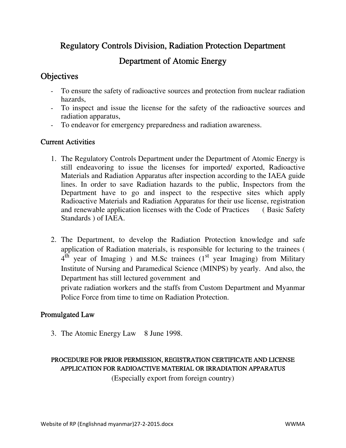Regulatory Controls Division, Radiation Protection Department

## Department of Atomic Energy

## **Objectives**

- To ensure the safety of radioactive sources and protection from nuclear radiation hazards,
- To inspect and issue the license for the safety of the radioactive sources and radiation apparatus,
- To endeavor for emergency preparedness and radiation awareness.

#### Current Activities

- 1. The Regulatory Controls Department under the Department of Atomic Energy is still endeavoring to issue the licenses for imported/ exported, Radioactive Materials and Radiation Apparatus after inspection according to the IAEA guide lines. In order to save Radiation hazards to the public, Inspectors from the Department have to go and inspect to the respective sites which apply Radioactive Materials and Radiation Apparatus for their use license, registration and renewable application licenses with the Code of Practices ( Basic Safety Standards ) of IAEA.
- 2. The Department, to develop the Radiation Protection knowledge and safe application of Radiation materials, is responsible for lecturing to the trainees (  $4^{\overline{th}}$  year of Imaging ) and M.Sc trainees (1<sup>st</sup> year Imaging) from Military Institute of Nursing and Paramedical Science (MINPS) by yearly. And also, the Department has still lectured government and

private radiation workers and the staffs from Custom Department and Myanmar Police Force from time to time on Radiation Protection.

#### Promulgated Law

3. The Atomic Energy Law 8 June 1998.

#### PROCEDURE FOR PRIOR PERMISSION, REGISTRATION CERTIFICATE AND LICENSE APPLICATION FOR RADIOACTIVE MATERIAL OR IRRADIATION APPARATUS

(Especially export from foreign country)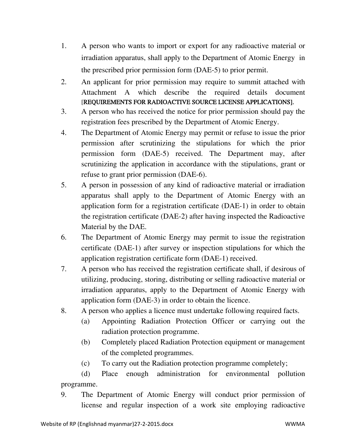- 1. A person who wants to import or export for any radioactive material or irradiation apparatus, shall apply to the Department of Atomic Energy in the prescribed prior permission form (DAE-5) to prior permit.
- 2. An applicant for prior permission may require to summit attached with Attachment A which describe the required details document [REQUIREMENTS FOR RADIOACTIVE SOURCE LICENSE APPLICATIONS].
- 3. A person who has received the notice for prior permission should pay the registration fees prescribed by the Department of Atomic Energy.
- 4. The Department of Atomic Energy may permit or refuse to issue the prior permission after scrutinizing the stipulations for which the prior permission form (DAE-5) received. The Department may, after scrutinizing the application in accordance with the stipulations, grant or refuse to grant prior permission (DAE-6).
- 5. A person in possession of any kind of radioactive material or irradiation apparatus shall apply to the Department of Atomic Energy with an application form for a registration certificate (DAE-1) in order to obtain the registration certificate (DAE-2) after having inspected the Radioactive Material by the DAE.
- 6. The Department of Atomic Energy may permit to issue the registration certificate (DAE-1) after survey or inspection stipulations for which the application registration certificate form (DAE-1) received.
- 7. A person who has received the registration certificate shall, if desirous of utilizing, producing, storing, distributing or selling radioactive material or irradiation apparatus, apply to the Department of Atomic Energy with application form (DAE-3) in order to obtain the licence.
- 8. A person who applies a licence must undertake following required facts.
	- (a) Appointing Radiation Protection Officer or carrying out the radiation protection programme.
	- (b) Completely placed Radiation Protection equipment or management of the completed programmes.
	- (c) To carry out the Radiation protection programme completely;

(d) Place enough administration for environmental pollution programme.

9. The Department of Atomic Energy will conduct prior permission of license and regular inspection of a work site employing radioactive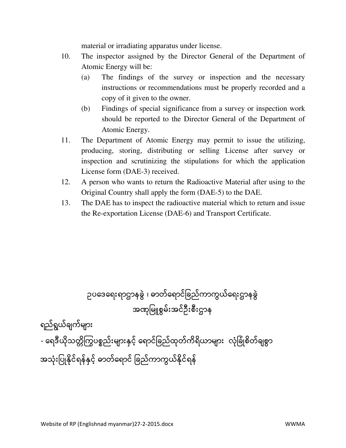material or irradiating apparatus under license.

- 10. The inspector assigned by the Director General of the Department of Atomic Energy will be:
	- (a) The findings of the survey or inspection and the necessary instructions or recommendations must be properly recorded and a copy of it given to the owner.
	- (b) Findings of special significance from a survey or inspection work should be reported to the Director General of the Department of Atomic Energy.
- 11. The Department of Atomic Energy may permit to issue the utilizing, producing, storing, distributing or selling License after survey or inspection and scrutinizing the stipulations for which the application License form (DAE-3) received.
- 12. A person who wants to return the Radioactive Material after using to the Original Country shall apply the form (DAE-5) to the DAE.
- 13. The DAE has to inspect the radioactive material which to return and issue the Re-exportation License (DAE-6) and Transport Certificate.

# ဥပäဒäရးရာဌာနခွဲ ၊ ဓာတ်äရာင်ြခည်ကာကွယ်äရးဌာနခွဲ အဏâြမူစွမ်းအင်ဦးစီးဌာန

ရည်ရွယ်ချက်များ

- ရေဒီယိုသတ္တိကြွပစ္စည်းများနှင့် ရောင်ခြည်ထုတ်ကိရိယာများ လုံခြုံစိတ်ချစွာ အသုံးပြုနိုင်ရန်နှင့် ဓာတ်ရောင် ခြည်ကာကွယ်နိုင်ရန်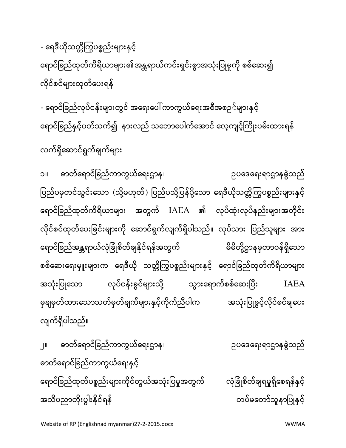အသိပညာတိုးပွါးနိုင်ရန် တပ်မဆောင်ရေး တပ်မတော်သူနာပြုနှင့်

ဓာတ်äရာင်ြခည်ကာကွယ်äရးနှင့် ရောင်ခြည်ထုတ်ပစ္စည်းများကိုင်တွယ်အသုံးပြမှုအတွက် လုံခြုံစိတ်ချရမှုရှိစေရန်နှင့်

၂။ ဓာတ်äရာင်ြခည်ကာကွယ်äရးဌာန၊ ဥပäဒäရးရာဌာနခွဲသည ်

ရောင်ခြည်ထုတ်ကိရိယာများ အတွက် IAEA ၏ လုပ်ထုံးလုပ်နည်းများအတိုင်း လိုင်စင်ထုတ်ပေးခြင်းများကို ဆောင်ရွက်လျက်ရှိပါသည်။ လုပ်သား ပြည်သူများ အား ရောင်ခြည်အန္တရာယ်လုံခြုံစိတ်ချနိုင်ရန်အတွက် မြောက်ခြံခဲ့တွေ စုတောဝန်ရှိသော စစ်ဆေးရေးမှူးများက ရေဒီယို သတ္တိကြွပစ္စည်းများနှင့် ရောင်ခြည်ထုတ်ကိရိယာများ အသုံးပြုသော လုပ်ငန်းခွင်များသို့ သွားရောက်စစ်ဆေးပြီး  ${\rm IABA}$ မှချမှတ်ထားသောသတ်မှတ်ချက်များနှင့်ကိုက်ညီပါက အသုံးပြုခွင့်လိုင်စင်ချပေး

လက်ရှိဆောင်ရွက်ချက်များ

လျက်ရှိပါသည်။

- ရောင်ခြည်လုပ်ငန်းများတွင် အရေးပေါ် ကာကွယ်ရေးအစီအစဉ*်*များနှင့် ရောင်ခြည်နှင့်ပတ်သက်၍ နားလည် သဘောပေါက်အောင် လေ့ကျင့်ကြိုးပမ်းထားရန်

၁။ ဓာတ်äရာင်ြခည်ကာကွယ်äရးဌာန၊ ဥပäဒäရးရာဌာနခွဲသည ်

ပြည်ပမှတင်သွင်းသော (သို့မဟုတ်) ပြည်ပသို့ပြန်ပို့သော ရေဒီယိုသတ္တိကြွပစ္စည်းများနှင့်

- ရေဒီယိုသတ္တိကြွပစ္စည်းများနှင့် ရောင်ခြည်ထုတ်ကိရိယာများ၏အန္တရာယ်ကင်းရှင်းစွာအသုံးပြုမှုကို စစ်ဆေး၍ လိုင်စင်များထုတ်ပေးရန်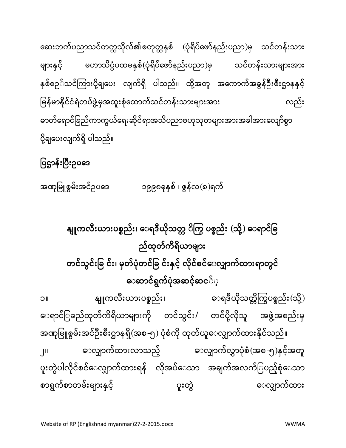နျူကလီးယားပစ္စည်း၊ ေရဒီယိုသတ္တ ိကြွ ပစ္စည်း (သို့) ေရာင်ခြ ည်ထုတ်ကိရိယာများ တင်သွင်းခြ င်း၊ မှတ်ပုံတင်ခြ င်းနှင့် လိုင်စင်ေလျှာက်ထားရာတွင် ေဆာင်ရွက်ပုံအဆင့်ဆင**်**့ ၁။ နျူကလီးယားပစ္စည်း၊ ေရဒီယိုသတ္တိကြွပစ္စည်း(သို့) ေရာင်ြခည်ထုတ်ကိရိယာများကို တင်သွင်း/ တင်ပို့လိုသူ အဖွဲ့အစည်းမှ အဏုမြူစွမ်းအင်ဦးစီးဌာနရှိ(အစ-၅) ပုံစံကို ထုတ်ယူေလျှာက်ထားနိုင်သည်။ ၂။ ေလျှာက်ထားလာသည့် ေလျှာက်လွှာပုံစံ(အစ-၅)နှင့်အတူ ပူးတွဲပါလိုင်စင်ေလျှောက်ထားရန် လိုအပ်ဲေသာ အချက်အလက်ြပည့်စုံေသာ စာရွက်စာတမ်းများနှင့် ကားသား ပူးတွဲ ပူးတွဲ ေလျှာက်ထား

အဏုမြူစွမ်းအင်ဥပဒေ ၁၉၉၈ခုနှစ် ၊ ဇွန်လ $(\mathfrak{o})$ ရက်

## ပြဌာန်းပြီးဥပဒေ

ဆေးဘက်ပညာသင်တက္ကသိုလ်၏စတုတ္ထနှစ် (ပုံရိပ်ဖော်နည်းပညာ)မှ သင်တန်းသား များနှင့် မဟာသိပ္ပံပထမနှစ်(ပုံရိပ်ဖော်နည်းပညာ)မှ သင်တန်းသားများအား နှစ်စဉ**်သင်ကြားပို့ချပေး လျက်ရှိ ပါသည်။ ထို့**အတူ အကောက်အခွန်ဦးစီးဌာနနှင့် မြန်မာနိုင်ငံရဲတပ်ဖွဲ့မှအထူးစုံထောက်သင်တန်းသားများအား ကား လည်း ဓာတ်ရောင်ခြည်ကာကွယ်ရေးဆိုင်ရာအသိပညာဗဟုသုတများအားအခါအားလျော်စွာ ပို့ချပေးလျက်ရှိ ပါသည်။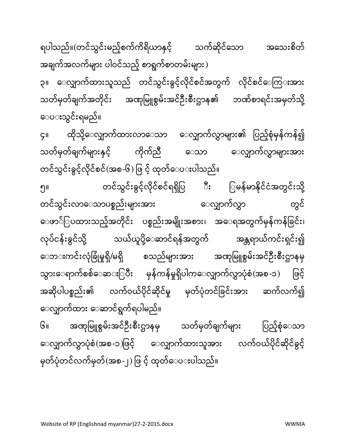ေပးသွင်းရမည ်။ ၄။ ထိုသို့ေလျှာက်ထားလာေသာ ေလျှာက်လွှာများ၏ ပြည့်စုံမှန်ကန်၍ သတ်မှတ်ချက်များနှင့် ကိုက်ညီ ေသာ ေလျှာက်လွှာများအား တင်သွင်းခွင့်လိုင်စင်(အစ-၆) ဖြ င့် ထုတ်ေပးပါသည်။ ၅။ တင်သွင်းခွင့်လိâင်စင်ရရှိြပ ီး ြမန်မာနိâင်ငæအတွင်းသိâ ့ တင်သွင်းလာေသာပစ္စည်းများအား ေလျှောက်လွှာ တွင် ေဖာ်ြပထားသည့်အတိâင်း ပစ္စည်းအမျိုးအစား၊ အေရအတွက်မှန်ကန်ြခင်း၊ လုပ်ငန်းခွင်သို့ သယ်ယူပို့ေဆာင်ရန်အတွက် အန္တရာယ်ကင်းရှင်း၍ ေဘ**းကင်းလုံခြုံမှုရှိ/မရှိ စသည်များအား** အဏုမြူစွမ်းအင်ဦးစီးဌာနမှ သွားေရာက်စစ်ေဆ**း**ြပီး မှန်ကန်မှုရှိပါကေလျှာက်လွှာပုံစံ(အစ-၁) ဖြင့် အဆိုပါပစ္စည်း၏ လက်ဝယ်ပိုင်ဆိုင်မှု မှတ်ပုံတင်ခြင်းအား ဆက်လက်၍ ေလျှာက်ထား ေဆာင်ရွက်ရပါမည်။ ၆။ အဏုမြူစွမ်းအင်ဦးစီးဌာနမှ သတ်မှတ်ချက်များ ပြည့်စုံေသာ ေလျှာက်လွှာပုံစံ(အစ-၁)ဖြင့် ေလျှာက်ထားသူအား လက်ဝယ်ပိုင်ဆိုင်ခွင့် မှတ်ပုံတင်လက်မှတ်(အစ-၂) ဖြ င့် ထုတ်ေပ**း**ပါသည်။

ရပါသည်။(တင်သွင်းမည့်စက်ကိရိယာနှင့် သက်ဆိုင်သော အသေးစိတ် အချက်အလက်များ ပါဝင်သည့် စာရွက်စာတမ်းများ) ၃။ ေလျှာက်ထားသူသည် တင်သွင်းခွင့်လိုင်စင်အတွက် လိုင်စင်ေကြ**း**အား သတ်မှတ်ချက်အတိုင်း အဏုမြူစွမ်းအင်ဦးစီးဌာန၏ ဘဏ်စာရင်းအမှတ်သို့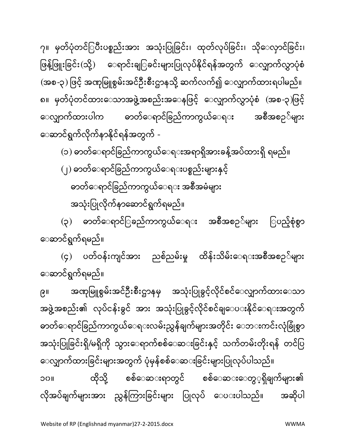ေဆာင်ရွက်ရမည်။ ၉။ အဏုမြူစွမ်းအင်ဦးစီးဌာနမှ အသုံးပြုခွင့်လိုင်စင်ေလျှာက်ထားေသာ အဖွဲ့အစည်း၏ လုပ်ငန်းခွင် အား အသုံးပြုခွင့်လိုင်စင်ချ**ေပ**းနိုင်ိေရ**းအတွက်** ဓာတ်ေရာင်ခြည်ကာကွယ်ေရ**းလမ်းညွှန်ချက်များအတိုင်း ေဘ**းကင်းလုံခြုံစွာ အသုံးပြုခြင်းရှိ/မရှိကို သွားေရာက်စစ်ေဆ**း**ခြင်းနှင့် သက်တမ်းတိုးရန် တင်ပြ ေလျှာက်ထားခြင်းများအတွက် ပုံမှန်စစ်ေဆ**း**ခြင်းများပြုလုပ်ပါသည်။ ၁၀။ ထိုသို့ စစ်ေဆ**းရာတွင် စစ်ေဆ**းေတွ**့ရှိချက်များ၏** လိုအပ်ချက်များအား ညွှန်ကြားခြင်းများ ပြုလုပ် ေပ**းပါသည်။** အဆိုပါ

ေဆာင်ရွက်ရမည်။ (၄) ပတ်ဝန်းကျင်အား ညစ်ညမ်းမှု ထိန်းသိမ်းေရ**းအစီအစ**ဉ**်များ** 

အသုံးပြုလိုက်နာဆောင်ရွက်ရမည်။ (၃) ဓာတ်ေရာင််ြခည်ကာကွယ်ေရ**း** အစီအစဉ**်များ ြပည့်စုံ**စွာ

ဓာတ်ေရာင်ခြည်ကာကွယ်ေရ**း** အစီအမံများ

(၂) ဓာတ်ေရာင်ြခည်ကာကွယ်ေရးပစ္စည်းများနှင့်

ေဆာင်ရွက်လိâက်နာနိâင်ရန်အတွက် - (၁) ဓာတ်ေရာင်ြခည်ကာကွယ်ေရးအရာရှိအားခန် ့အပ်ထားရှိ ရမည်။

၇။ မှတ်ပုံတင်ြပီးပစ္စည်းအား အသုံးပြုခြင်း၊ ထုတ်လုပ်ခြင်း၊ သိုေလှာင်ခြင်း၊ ဖြန့်ဖြူးခြင်း(သို့) ေရာင်းချြခင်းများပြုလုပ်နိုင်ရန်အတွက် ေလျှာက်လွှာပုံစံ (အစ-၃) ဖြင့် အဏုမြူစွမ်းအင်ဦးစီးဌာနသို့ ဆက်လက်၍ ေလျှာက်ထားရပါမည်။ ၈။ မှတ်ပုံတင်ထားေသာအဖွဲ့အစည်းအေနဖြင့် ေလျှာက်လွှာပုံစံ (အစ-၃)ဖြင့် ေလျှာက်ထားပါက ဓာတ်ေရာင်ခြည်ကာကွယ်ေရ**း အစီအစ**ဉ**်များ**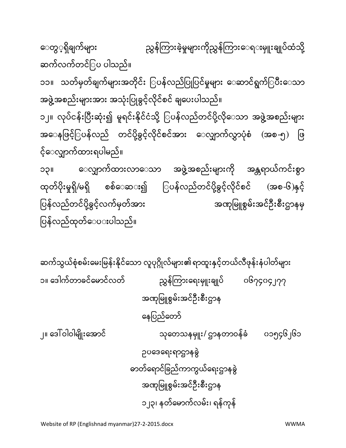၁။ äဒါက်တာခင်äမာင်လတ် ညôန်ïကားäရးမ ှူးချုပ ် ၀၆၇၄၀၄၂၇၇ အဏâြမူစွမ်းအင်ဦးစီးဌာန äနြပည်äတာ် ၂။ äဒíဝါဝါမျိုးäအာင် သâäတသနမှူး/ ဌာနတာဝန်ခæ ၀၁၅၄၆၂၆၁ ဥပäဒäရးရာဌာနခွဲ ဓာတ်äရာင်ြခည်ကာကွယ်äရးဌာနခွဲ အဏâြမူစွမ်းအင်ဦးစီးဌာန ၁၂၃၊ နတ်äမာက်လမ်း၊ ရန်ကâန်

ဆက်သွယ်စံစမ်းမေးမြန်းနိုင်သော လူပဝိုလ်များ၏ ရာထူးနှင့်တယ်လီဖုန်းနံပါတ်များ

ဆက်လက်တင်ြပ ပါသည်။ ၁၁။ သတ်မှတ်ချက်များအတိုင်း ြပန်လည်ပြုပြင်မှုများ ေဆာင်ရွက်ြပီးေသာ အဖွဲ့အစည်းများအား အသုံးပြုခွင့်လိုင်စင် ချပေးပါသည်။ ၁၂။ လုပ်ငန်းပြီးဆုံး၍ မူရင်းနိုင်ငံသို့ ြပန်လည်တင်ပို့လိုေသာ အဖွဲ့အစည်းများ အေနဖြင့်ြပန်လည် တင်ပို့ခွင့်လိုင်စင်အား ေလျာက်လွှာပုံစံ (အစ-၅) ဖြ င့်ေလøာက်ထားရပါမည်။ ၁၃။ ေလျှာက်ထားလာေသာ အဖွဲ့အစည်းများကို အန္တရာယ်ကင်းစွာ ထုတ်ပိုးမှုရှိ/မရှိ စစ်ေဆ**း**၍ ြပန်လည်တင်ပို့ခွင့်လိုင်စင် (အစ-၆)နှင့် ြပန်လည်တင်ပိâ ့ခွင့်လက်မှတ်အား အဏâြမူစွမ်းအင်ဦးစီးဌာနမှ ြပန်လည်ထâတ်ေပးပါသည်။

ေတွ္နရှိချက်များ ကာ ညွှန်ကြားခဲ့မှုများကိုညွှန်ကြားေရးမျုးချုပ်ထံသို့